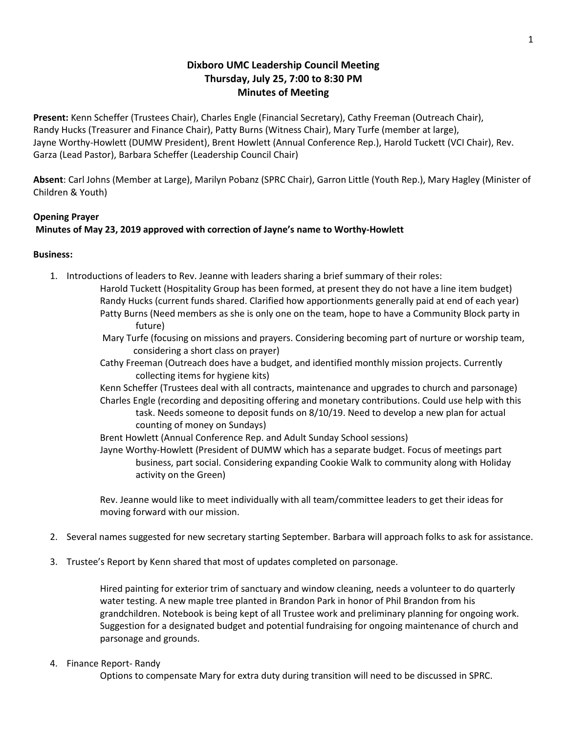# **Dixboro UMC Leadership Council Meeting Thursday, July 25, 7:00 to 8:30 PM Minutes of Meeting**

**Present:** Kenn Scheffer (Trustees Chair), Charles Engle (Financial Secretary), Cathy Freeman (Outreach Chair), Randy Hucks (Treasurer and Finance Chair), Patty Burns (Witness Chair), Mary Turfe (member at large), Jayne Worthy-Howlett (DUMW President), Brent Howlett (Annual Conference Rep.), Harold Tuckett (VCI Chair), Rev. Garza (Lead Pastor), Barbara Scheffer (Leadership Council Chair)

**Absent**: Carl Johns (Member at Large), Marilyn Pobanz (SPRC Chair), Garron Little (Youth Rep.), Mary Hagley (Minister of Children & Youth)

## **Opening Prayer**

### **Minutes of May 23, 2019 approved with correction of Jayne's name to Worthy-Howlett**

### **Business:**

- 1. Introductions of leaders to Rev. Jeanne with leaders sharing a brief summary of their roles:
	- Harold Tuckett (Hospitality Group has been formed, at present they do not have a line item budget) Randy Hucks (current funds shared. Clarified how apportionments generally paid at end of each year) Patty Burns (Need members as she is only one on the team, hope to have a Community Block party in future)
		- Mary Turfe (focusing on missions and prayers. Considering becoming part of nurture or worship team, considering a short class on prayer)
	- Cathy Freeman (Outreach does have a budget, and identified monthly mission projects. Currently collecting items for hygiene kits)
	- Kenn Scheffer (Trustees deal with all contracts, maintenance and upgrades to church and parsonage)
	- Charles Engle (recording and depositing offering and monetary contributions. Could use help with this task. Needs someone to deposit funds on 8/10/19. Need to develop a new plan for actual counting of money on Sundays)
	- Brent Howlett (Annual Conference Rep. and Adult Sunday School sessions)
	- Jayne Worthy-Howlett (President of DUMW which has a separate budget. Focus of meetings part business, part social. Considering expanding Cookie Walk to community along with Holiday activity on the Green)

Rev. Jeanne would like to meet individually with all team/committee leaders to get their ideas for moving forward with our mission.

- 2. Several names suggested for new secretary starting September. Barbara will approach folks to ask for assistance.
- 3. Trustee's Report by Kenn shared that most of updates completed on parsonage.

Hired painting for exterior trim of sanctuary and window cleaning, needs a volunteer to do quarterly water testing. A new maple tree planted in Brandon Park in honor of Phil Brandon from his grandchildren. Notebook is being kept of all Trustee work and preliminary planning for ongoing work. Suggestion for a designated budget and potential fundraising for ongoing maintenance of church and parsonage and grounds.

#### 4. Finance Report- Randy

Options to compensate Mary for extra duty during transition will need to be discussed in SPRC.